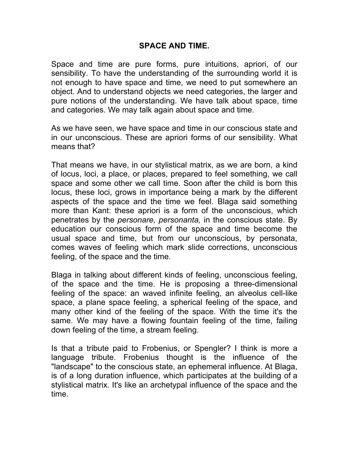## **SPACE AND TIME.**

Space and time are pure forms, pure intuitions, apriori, of our sensibility. To have the understanding of the surrounding world it is not enough to have space and time, we need to put somewhere an object. And to understand objects we need categories, the larger and pure notions of the understanding. We have talk about space, time and categories. We may talk again about space and time.

As we have seen, we have space and time in our conscious state and in our unconscious. These are apriori forms of our sensibility. What means that?

That means we have, in our stylistical matrix, as we are born, a kind of locus, loci, a place, or places, prepared to feel something, we call space and some other we call time. Soon after the child is born this locus, these loci, grows in importance being a mark by the different aspects of the space and the time we feel. Blaga said something more than Kant: these apriori is a form of the unconscious, which penetrates by the *personare, personanta,* in the conscious state. By education our conscious form of the space and time become the usual space and time, but from our unconscious, by personata, comes waves of feeling which mark slide corrections, unconscious feeling, of the space and the time.

Blaga in talking about different kinds of feeling, unconscious feeling, of the space and the time. He is proposing a three-dimensional feeling of the space: an waved infinite feeling, an alveolus cell-like space, a plane space feeling, a spherical feeling of the space, and many other kind of the feeling of the space. With the time it's the same. We may have a flowing fountain feeling of the time, failing down feeling of the time, a stream feeling.

Is that a tribute paid to Frobenius, or Spengler? I think is more a language tribute. Frobenius thought is the influence of the "landscape" to the conscious state, an ephemeral influence. At Blaga, is of a long duration influence, which participates at the building of a stylistical matrix. It's like an archetypal influence of the space and the time.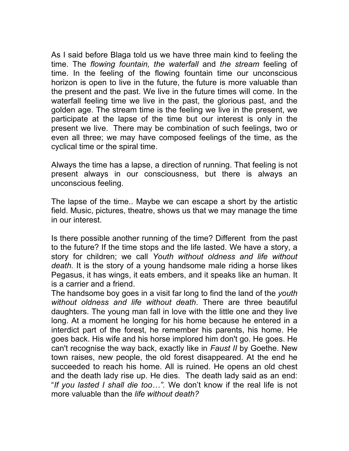As I said before Blaga told us we have three main kind to feeling the time. The *flowing fountain, the waterfall* and *the stream* feeling of time. In the feeling of the flowing fountain time our unconscious horizon is open to live in the future, the future is more valuable than the present and the past. We live in the future times will come. In the waterfall feeling time we live in the past, the glorious past, and the golden age. The stream time is the feeling we live in the present, we participate at the lapse of the time but our interest is only in the present we live. There may be combination of such feelings, two or even all three; we may have composed feelings of the time, as the cyclical time or the spiral time.

Always the time has a lapse, a direction of running. That feeling is not present always in our consciousness, but there is always an unconscious feeling.

The lapse of the time.. Maybe we can escape a short by the artistic field. Music, pictures, theatre, shows us that we may manage the time in our interest.

Is there possible another running of the time? Different from the past to the future? If the time stops and the life lasted. We have a story, a story for children; we call *Youth without oldness and life without death.* It is the story of a young handsome male riding a horse likes Pegasus, it has wings, it eats embers, and it speaks like an human. It is a carrier and a friend.

The handsome boy goes in a visit far long to find the land of the *youth without oldness and life without death*. There are three beautiful daughters. The young man fall in love with the little one and they live long. At a moment he longing for his home because he entered in a interdict part of the forest, he remember his parents, his home. He goes back. His wife and his horse implored him don't go. He goes. He can't recognise the way back, exactly like in *Faust II* by Goethe. New town raises, new people, the old forest disappeared. At the end he succeeded to reach his home. All is ruined. He opens an old chest and the death lady rise up. He dies. The death lady said as an end: "*If you lasted I shall die too…".* We don't know if the real life is not more valuable than the *life without death?*